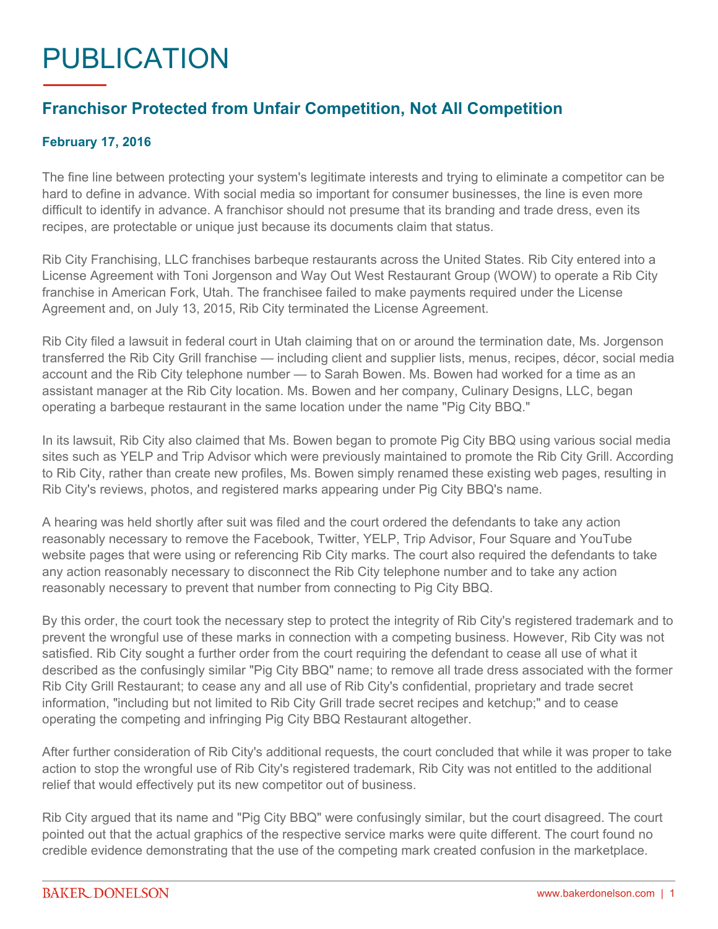## PUBLICATION

## **Franchisor Protected from Unfair Competition, Not All Competition**

## **February 17, 2016**

The fine line between protecting your system's legitimate interests and trying to eliminate a competitor can be hard to define in advance. With social media so important for consumer businesses, the line is even more difficult to identify in advance. A franchisor should not presume that its branding and trade dress, even its recipes, are protectable or unique just because its documents claim that status.

Rib City Franchising, LLC franchises barbeque restaurants across the United States. Rib City entered into a License Agreement with Toni Jorgenson and Way Out West Restaurant Group (WOW) to operate a Rib City franchise in American Fork, Utah. The franchisee failed to make payments required under the License Agreement and, on July 13, 2015, Rib City terminated the License Agreement.

Rib City filed a lawsuit in federal court in Utah claiming that on or around the termination date, Ms. Jorgenson transferred the Rib City Grill franchise — including client and supplier lists, menus, recipes, décor, social media account and the Rib City telephone number — to Sarah Bowen. Ms. Bowen had worked for a time as an assistant manager at the Rib City location. Ms. Bowen and her company, Culinary Designs, LLC, began operating a barbeque restaurant in the same location under the name "Pig City BBQ."

In its lawsuit, Rib City also claimed that Ms. Bowen began to promote Pig City BBQ using various social media sites such as YELP and Trip Advisor which were previously maintained to promote the Rib City Grill. According to Rib City, rather than create new profiles, Ms. Bowen simply renamed these existing web pages, resulting in Rib City's reviews, photos, and registered marks appearing under Pig City BBQ's name.

A hearing was held shortly after suit was filed and the court ordered the defendants to take any action reasonably necessary to remove the Facebook, Twitter, YELP, Trip Advisor, Four Square and YouTube website pages that were using or referencing Rib City marks. The court also required the defendants to take any action reasonably necessary to disconnect the Rib City telephone number and to take any action reasonably necessary to prevent that number from connecting to Pig City BBQ.

By this order, the court took the necessary step to protect the integrity of Rib City's registered trademark and to prevent the wrongful use of these marks in connection with a competing business. However, Rib City was not satisfied. Rib City sought a further order from the court requiring the defendant to cease all use of what it described as the confusingly similar "Pig City BBQ" name; to remove all trade dress associated with the former Rib City Grill Restaurant; to cease any and all use of Rib City's confidential, proprietary and trade secret information, "including but not limited to Rib City Grill trade secret recipes and ketchup;" and to cease operating the competing and infringing Pig City BBQ Restaurant altogether.

After further consideration of Rib City's additional requests, the court concluded that while it was proper to take action to stop the wrongful use of Rib City's registered trademark, Rib City was not entitled to the additional relief that would effectively put its new competitor out of business.

Rib City argued that its name and "Pig City BBQ" were confusingly similar, but the court disagreed. The court pointed out that the actual graphics of the respective service marks were quite different. The court found no credible evidence demonstrating that the use of the competing mark created confusion in the marketplace.